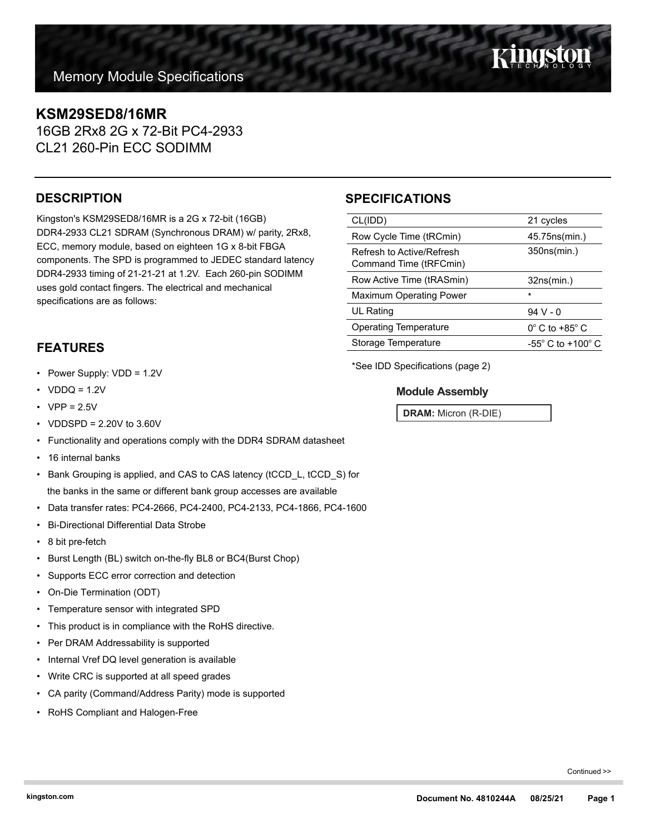## **KSM29SED8/16MR**

16GB 2Rx8 2G x 72-Bit PC4-2933 CL21 260-Pin ECC SODIMM

## **DESCRIPTION**

Kingston's KSM29SED8/16MR is a 2G x 72-bit (16GB) DDR4-2933 CL21 SDRAM (Synchronous DRAM) w/ parity, 2Rx8, ECC, memory module, based on eighteen 1G x 8-bit FBGA components. The SPD is programmed to JEDEC standard latency DDR4-2933 timing of 21-21-21 at 1.2V. Each 260-pin SODIMM uses gold contact fingers. The electrical and mechanical specifications are as follows:

## **FEATURES**

- Power Supply: VDD = 1.2V
- $VDDQ = 1.2V$
- $VPP = 2.5V$
- VDDSPD = 2.20V to 3.60V
- Functionality and operations comply with the DDR4 SDRAM datasheet
- 16 internal banks
- Bank Grouping is applied, and CAS to CAS latency (tCCD\_L, tCCD\_S) for the banks in the same or different bank group accesses are available
- Data transfer rates: PC4-2666, PC4-2400, PC4-2133, PC4-1866, PC4-1600
- Bi-Directional Differential Data Strobe
- 8 bit pre-fetch
- Burst Length (BL) switch on-the-fly BL8 or BC4(Burst Chop)
- Supports ECC error correction and detection
- On-Die Termination (ODT)
- Temperature sensor with integrated SPD
- This product is in compliance with the RoHS directive.
- Per DRAM Addressability is supported
- Internal Vref DQ level generation is available
- Write CRC is supported at all speed grades
- CA parity (Command/Address Parity) mode is supported
- RoHS Compliant and Halogen-Free

## **SPECIFICATIONS**

| CL(IDD)                                             | 21 cycles                           |
|-----------------------------------------------------|-------------------------------------|
| Row Cycle Time (tRCmin)                             | 45.75ns(min.)                       |
| Refresh to Active/Refresh<br>Command Time (tRFCmin) | 350ns(min.)                         |
| Row Active Time (tRASmin)                           | 32ns(min.)                          |
| <b>Maximum Operating Power</b>                      | $\star$                             |
| UL Rating                                           | $94V - 0$                           |
| <b>Operating Temperature</b>                        | $0^{\circ}$ C to +85 $^{\circ}$ C   |
| Storage Temperature                                 | $-55^{\circ}$ C to $+100^{\circ}$ C |
|                                                     |                                     |

\*See IDD Specifications (page 2)

### **Module Assembly**

**DRAM:** Micron (R-DIE)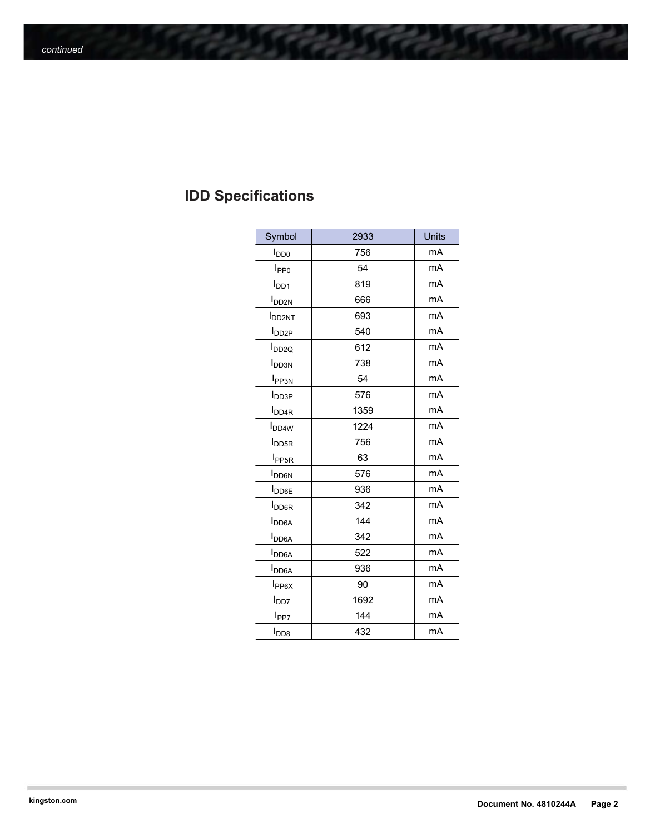# **IDD Specifications**

| Symbol                   | 2933 | Units |
|--------------------------|------|-------|
| <b>I</b> <sub>DD0</sub>  | 756  | mA    |
| I <sub>PP0</sub>         | 54   | mA    |
| $I_{DD1}$                | 819  | mA    |
| <b>I</b> <sub>DD2N</sub> | 666  | mA    |
| <b>I</b> DD2NT           | 693  | mA    |
| <b>I</b> DD2P            | 540  | mA    |
| <b>I</b> <sub>DD2Q</sub> | 612  | mA    |
| <b>I</b> <sub>DD3N</sub> | 738  | mA    |
| <b>I</b> PP3N            | 54   | mA    |
| <b>I</b> DD3P            | 576  | mA    |
| <b>I</b> <sub>DD4R</sub> | 1359 | mA    |
| <b>I</b> <sub>DD4W</sub> | 1224 | mA    |
| <b>I</b> <sub>DD5R</sub> | 756  | mA    |
| I <sub>PP5R</sub>        | 63   | mA    |
| <b>I</b> <sub>DD6N</sub> | 576  | mA    |
| <b>I</b> <sub>DD6E</sub> | 936  | mA    |
| <b>I</b> <sub>DD6R</sub> | 342  | mA    |
| <b>I</b> <sub>DD6A</sub> | 144  | mA    |
| <b>I</b> <sub>DD6A</sub> | 342  | mA    |
| I <sub>DD6A</sub>        | 522  | mA    |
| $I_{DD6A}$               | 936  | mA    |
| $I_{PP6X}$               | 90   | mA    |
| l <sub>DD7</sub>         | 1692 | mA    |
| l <sub>PP7</sub>         | 144  | mA    |
| $I_{\text{DD8}}$         | 432  | mA    |